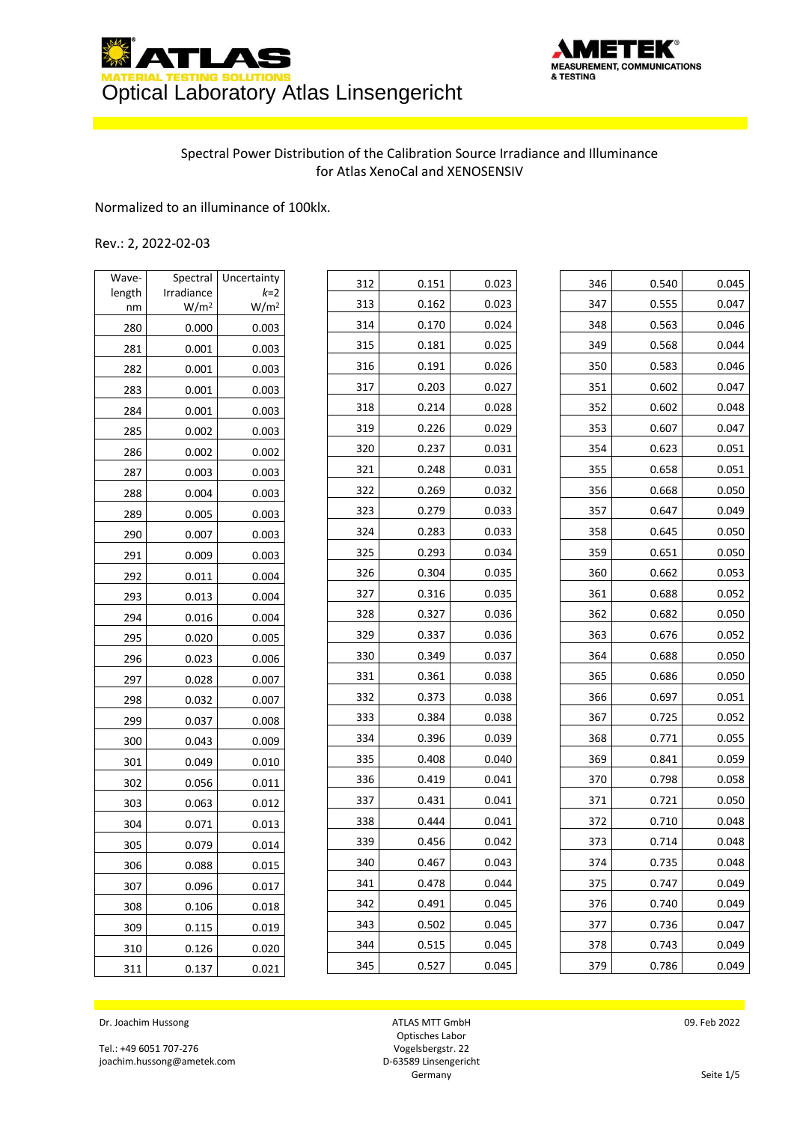



## Spectral Power Distribution of the Calibration Source Irradiance and Illuminance for Atlas XenoCal and XENOSENSIV

## Normalized to an illuminance of 100klx.

## Rev.: 2, 2022-02-03

| Wave-  | Spectral         | Uncertainty      |
|--------|------------------|------------------|
| length | Irradiance       | k=2              |
| nm     | W/m <sup>2</sup> | W/m <sup>2</sup> |
| 280    | 0.000            | 0.003            |
| 281    | 0.001            | 0.003            |
| 282    | 0.001            | 0.003            |
| 283    | 0.001            | 0.003            |
| 284    | 0.001            | 0.003            |
| 285    | 0.002            | 0.003            |
| 286    | 0.002            | 0.002            |
| 287    | 0.003            | 0.003            |
| 288    | 0.004            | 0.003            |
| 289    | 0.005            | 0.003            |
| 290    | 0.007            | 0.003            |
| 291    | 0.009            | 0.003            |
| 292    | 0.011            | 0.004            |
| 293    | 0.013            | 0.004            |
| 294    | 0.016            | 0.004            |
| 295    | 0.020            | 0.005            |
| 296    | 0.023            | 0.006            |
| 297    | 0.028            | 0.007            |
| 298    | 0.032            | 0.007            |
| 299    | 0.037            | 0.008            |
| 300    | 0.043            | 0.009            |
| 301    | 0.049            | 0.010            |
| 302    | 0.056            | 0.011            |
| 303    | 0.063            | 0.012            |
| 304    | 0.071            | 0.013            |
| 305    | 0.079            | 0.014            |
| 306    | 0.088            | 0.015            |
| 307    | 0.096            | 0.017            |
| 308    | 0.106            | 0.018            |
| 309    | 0.115            | 0.019            |
| 310    | 0.126            | 0.020            |
| 311    | 0.137            | 0.021            |

| 312 | 0.151 | 0.023 |
|-----|-------|-------|
| 313 | 0.162 | 0.023 |
| 314 | 0.170 | 0.024 |
| 315 | 0.181 | 0.025 |
| 316 | 0.191 | 0.026 |
| 317 | 0.203 | 0.027 |
| 318 | 0.214 | 0.028 |
| 319 | 0.226 | 0.029 |
| 320 | 0.237 | 0.031 |
| 321 | 0.248 | 0.031 |
| 322 | 0.269 | 0.032 |
| 323 | 0.279 | 0.033 |
| 324 | 0.283 | 0.033 |
| 325 | 0.293 | 0.034 |
| 326 | 0.304 | 0.035 |
| 327 | 0.316 | 0.035 |
| 328 | 0.327 | 0.036 |
| 329 | 0.337 | 0.036 |
| 330 | 0.349 | 0.037 |
| 331 | 0.361 | 0.038 |
| 332 | 0.373 | 0.038 |
| 333 | 0.384 | 0.038 |
| 334 | 0.396 | 0.039 |
| 335 | 0.408 | 0.040 |
| 336 | 0.419 | 0.041 |
| 337 | 0.431 | 0.041 |
| 338 | 0.444 | 0.041 |
| 339 | 0.456 | 0.042 |
| 340 | 0.467 | 0.043 |
| 341 | 0.478 | 0.044 |
| 342 | 0.491 | 0.045 |
| 343 | 0.502 | 0.045 |
| 344 | 0.515 | 0.045 |
| 345 | 0.527 | 0.045 |

| 346 | 0.540 | 0.045 |
|-----|-------|-------|
| 347 | 0.555 | 0.047 |
| 348 | 0.563 | 0.046 |
| 349 | 0.568 | 0.044 |
| 350 | 0.583 | 0.046 |
| 351 | 0.602 | 0.047 |
| 352 | 0.602 | 0.048 |
| 353 | 0.607 | 0.047 |
| 354 | 0.623 | 0.051 |
| 355 | 0.658 | 0.051 |
| 356 | 0.668 | 0.050 |
| 357 | 0.647 | 0.049 |
| 358 | 0.645 | 0.050 |
| 359 | 0.651 | 0.050 |
| 360 | 0.662 | 0.053 |
| 361 | 0.688 | 0.052 |
| 362 | 0.682 | 0.050 |
| 363 | 0.676 | 0.052 |
| 364 | 0.688 | 0.050 |
| 365 | 0.686 | 0.050 |
| 366 | 0.697 | 0.051 |
| 367 | 0.725 | 0.052 |
| 368 | 0.771 | 0.055 |
| 369 | 0.841 | 0.059 |
| 370 | 0.798 | 0.058 |
| 371 | 0.721 | 0.050 |
| 372 | 0.710 | 0.048 |
| 373 | 0.714 | 0.048 |
| 374 | 0.735 | 0.048 |
| 375 | 0.747 | 0.049 |
| 376 | 0.740 | 0.049 |
| 377 | 0.736 | 0.047 |
| 378 | 0.743 | 0.049 |
| 379 | 0.786 | 0.049 |

Dr. Joachim Hussong

Tel.: +49 6051 707-276 joachim.hussong@ametek.com

ATLAS MTT GmbH Optisches Labor Vogelsbergstr. 22 D-63589 Linsengericht **Germany**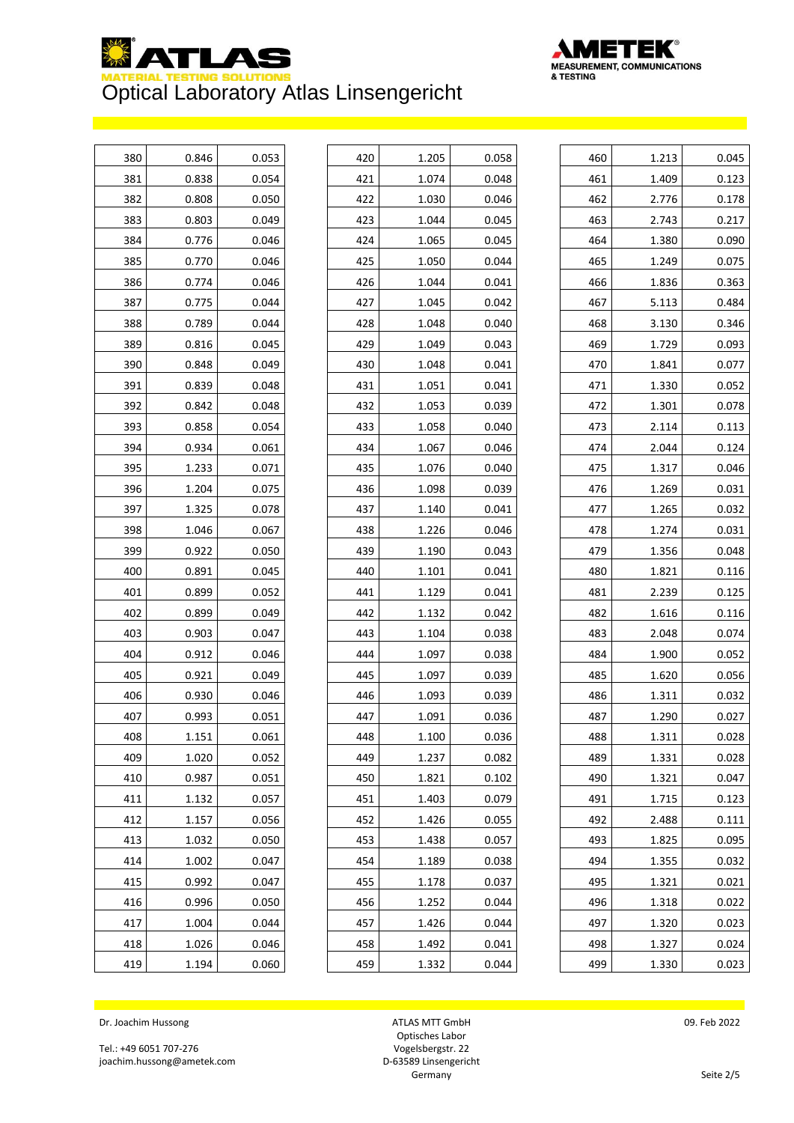



| 380 | 0.846 | 0.053 |
|-----|-------|-------|
| 381 | 0.838 | 0.054 |
| 382 | 0.808 | 0.050 |
| 383 | 0.803 | 0.049 |
| 384 | 0.776 | 0.046 |
| 385 | 0.770 | 0.046 |
| 386 | 0.774 | 0.046 |
| 387 | 0.775 | 0.044 |
| 388 | 0.789 | 0.044 |
| 389 | 0.816 | 0.045 |
| 390 | 0.848 | 0.049 |
| 391 | 0.839 | 0.048 |
| 392 | 0.842 | 0.048 |
| 393 | 0.858 | 0.054 |
| 394 | 0.934 | 0.061 |
| 395 | 1.233 | 0.071 |
| 396 | 1.204 | 0.075 |
| 397 | 1.325 | 0.078 |
| 398 | 1.046 | 0.067 |
| 399 | 0.922 | 0.050 |
| 400 | 0.891 | 0.045 |
| 401 | 0.899 | 0.052 |
| 402 | 0.899 | 0.049 |
| 403 | 0.903 | 0.047 |
| 404 | 0.912 | 0.046 |
| 405 | 0.921 | 0.049 |
| 406 | 0.930 | 0.046 |
| 407 | 0.993 | 0.051 |
| 408 | 1.151 | 0.061 |
| 409 | 1.020 | 0.052 |
| 410 | 0.987 | 0.051 |
| 411 | 1.132 | 0.057 |
| 412 | 1.157 | 0.056 |
| 413 | 1.032 | 0.050 |
| 414 | 1.002 | 0.047 |
| 415 | 0.992 | 0.047 |
| 416 | 0.996 | 0.050 |
| 417 | 1.004 | 0.044 |
| 418 | 1.026 | 0.046 |
| 419 | 1.194 | 0.060 |

| 420 | 1.205 | 0.058 |
|-----|-------|-------|
| 421 | 1.074 | 0.048 |
| 422 | 1.030 | 0.046 |
| 423 | 1.044 | 0.045 |
| 424 | 1.065 | 0.045 |
| 425 | 1.050 | 0.044 |
| 426 | 1.044 | 0.041 |
| 427 | 1.045 | 0.042 |
| 428 | 1.048 | 0.040 |
| 429 | 1.049 | 0.043 |
| 430 | 1.048 | 0.041 |
| 431 | 1.051 | 0.041 |
| 432 | 1.053 | 0.039 |
| 433 | 1.058 | 0.040 |
| 434 | 1.067 | 0.046 |
| 435 | 1.076 | 0.040 |
| 436 | 1.098 | 0.039 |
| 437 | 1.140 | 0.041 |
| 438 | 1.226 | 0.046 |
| 439 | 1.190 | 0.043 |
| 440 | 1.101 | 0.041 |
| 441 | 1.129 | 0.041 |
| 442 | 1.132 | 0.042 |
| 443 | 1.104 | 0.038 |
| 444 | 1.097 | 0.038 |
| 445 | 1.097 | 0.039 |
| 446 | 1.093 | 0.039 |
| 447 | 1.091 | 0.036 |
| 448 | 1.100 | 0.036 |
| 449 | 1.237 | 0.082 |
| 450 | 1.821 | 0.102 |
| 451 | 1.403 | 0.079 |
| 452 | 1.426 | 0.055 |
| 453 | 1.438 | 0.057 |
| 454 | 1.189 | 0.038 |
| 455 | 1.178 | 0.037 |
| 456 | 1.252 | 0.044 |
| 457 | 1.426 | 0.044 |
| 458 | 1.492 | 0.041 |
| 459 | 1.332 | 0.044 |

| 460 | 1.213 | 0.045 |
|-----|-------|-------|
| 461 | 1.409 | 0.123 |
| 462 | 2.776 | 0.178 |
| 463 | 2.743 | 0.217 |
| 464 | 1.380 | 0.090 |
| 465 | 1.249 | 0.075 |
| 466 | 1.836 | 0.363 |
| 467 | 5.113 | 0.484 |
| 468 | 3.130 | 0.346 |
| 469 | 1.729 | 0.093 |
| 470 | 1.841 | 0.077 |
| 471 | 1.330 | 0.052 |
| 472 | 1.301 | 0.078 |
| 473 | 2.114 | 0.113 |
| 474 | 2.044 | 0.124 |
| 475 | 1.317 | 0.046 |
| 476 | 1.269 | 0.031 |
| 477 | 1.265 | 0.032 |
| 478 | 1.274 | 0.031 |
| 479 | 1.356 | 0.048 |
| 480 | 1.821 | 0.116 |
| 481 | 2.239 | 0.125 |
| 482 | 1.616 | 0.116 |
| 483 | 2.048 | 0.074 |
| 484 | 1.900 | 0.052 |
| 485 | 1.620 | 0.056 |
| 486 | 1.311 | 0.032 |
| 487 | 1.290 | 0.027 |
| 488 | 1.311 | 0.028 |
| 489 | 1.331 | 0.028 |
| 490 | 1.321 | 0.047 |
| 491 | 1.715 | 0.123 |
| 492 | 2.488 | 0.111 |
| 493 | 1.825 | 0.095 |
| 494 | 1.355 | 0.032 |
| 495 | 1.321 | 0.021 |
| 496 | 1.318 | 0.022 |
| 497 | 1.320 | 0.023 |
| 498 | 1.327 | 0.024 |
| 499 | 1.330 | 0.023 |
|     |       |       |

Dr. Joachim Hussong

Tel.: +49 6051 707-276 joachim.hussong@ametek.com

ATLAS MTT GmbH Optisches Labor Vogelsbergstr. 22 D-63589 Linsengericht **Germany**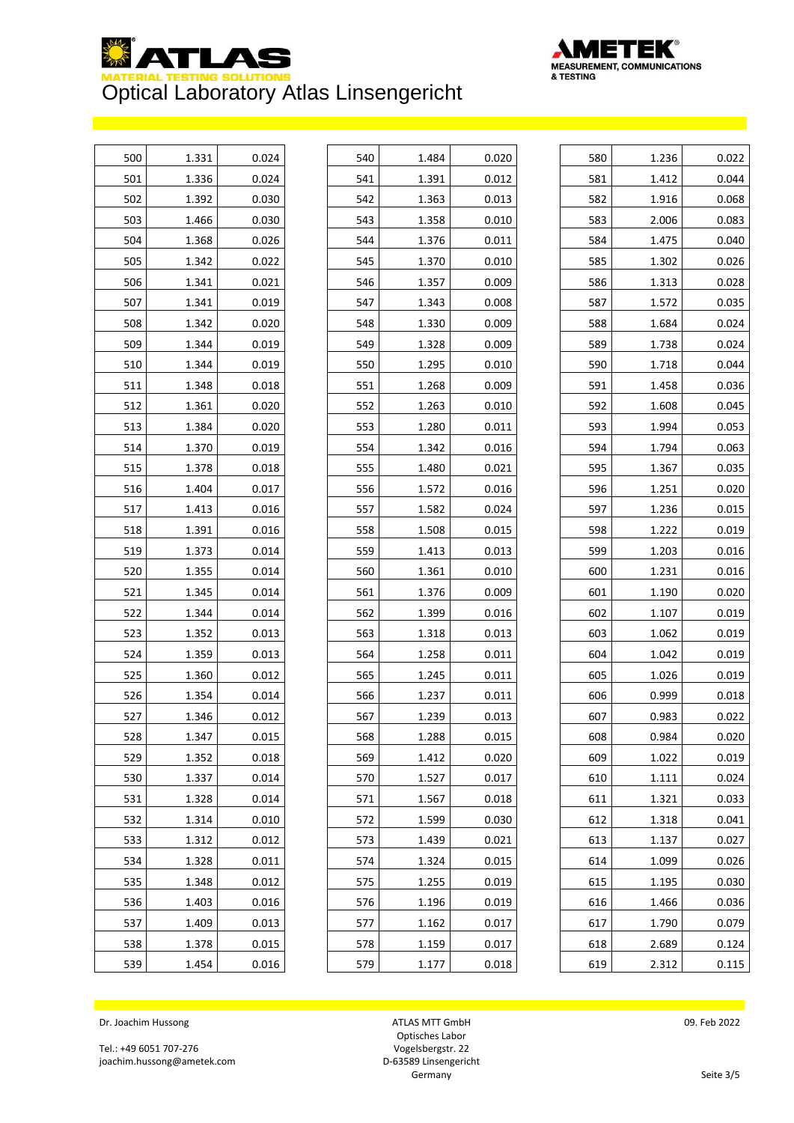



| 500 | 1.331 | 0.024 |
|-----|-------|-------|
| 501 | 1.336 | 0.024 |
| 502 | 1.392 | 0.030 |
| 503 | 1.466 | 0.030 |
| 504 | 1.368 | 0.026 |
| 505 | 1.342 | 0.022 |
| 506 | 1.341 | 0.021 |
| 507 | 1.341 | 0.019 |
| 508 | 1.342 | 0.020 |
| 509 | 1.344 | 0.019 |
| 510 | 1.344 | 0.019 |
| 511 | 1.348 | 0.018 |
| 512 | 1.361 | 0.020 |
| 513 | 1.384 | 0.020 |
| 514 | 1.370 | 0.019 |
| 515 | 1.378 | 0.018 |
| 516 | 1.404 | 0.017 |
| 517 | 1.413 | 0.016 |
| 518 | 1.391 | 0.016 |
| 519 | 1.373 | 0.014 |
| 520 | 1.355 | 0.014 |
| 521 | 1.345 | 0.014 |
| 522 | 1.344 | 0.014 |
| 523 | 1.352 | 0.013 |
| 524 | 1.359 | 0.013 |
| 525 | 1.360 | 0.012 |
| 526 | 1.354 | 0.014 |
| 527 | 1.346 | 0.012 |
| 528 | 1.347 | 0.015 |
| 529 | 1.352 | 0.018 |
| 530 | 1.337 | 0.014 |
| 531 | 1.328 | 0.014 |
| 532 | 1.314 | 0.010 |
| 533 | 1.312 | 0.012 |
| 534 | 1.328 | 0.011 |
| 535 | 1.348 | 0.012 |
| 536 | 1.403 | 0.016 |
| 537 | 1.409 | 0.013 |
| 538 | 1.378 | 0.015 |
| 539 | 1.454 | 0.016 |

| 540 | 1.484 | 0.020 |
|-----|-------|-------|
| 541 | 1.391 | 0.012 |
| 542 | 1.363 | 0.013 |
| 543 | 1.358 | 0.010 |
| 544 | 1.376 | 0.011 |
| 545 | 1.370 | 0.010 |
| 546 | 1.357 | 0.009 |
| 547 | 1.343 | 0.008 |
| 548 | 1.330 | 0.009 |
| 549 | 1.328 | 0.009 |
| 550 | 1.295 | 0.010 |
| 551 | 1.268 | 0.009 |
| 552 | 1.263 | 0.010 |
| 553 | 1.280 | 0.011 |
| 554 | 1.342 | 0.016 |
| 555 | 1.480 | 0.021 |
| 556 | 1.572 | 0.016 |
| 557 | 1.582 | 0.024 |
| 558 | 1.508 | 0.015 |
| 559 | 1.413 | 0.013 |
| 560 | 1.361 | 0.010 |
| 561 | 1.376 | 0.009 |
| 562 | 1.399 | 0.016 |
| 563 | 1.318 | 0.013 |
| 564 | 1.258 | 0.011 |
| 565 | 1.245 | 0.011 |
| 566 | 1.237 | 0.011 |
| 567 | 1.239 | 0.013 |
| 568 | 1.288 | 0.015 |
| 569 | 1.412 | 0.020 |
| 570 | 1.527 | 0.017 |
| 571 | 1.567 | 0.018 |
| 572 | 1.599 | 0.030 |
| 573 | 1.439 | 0.021 |
| 574 | 1.324 | 0.015 |
| 575 | 1.255 | 0.019 |
| 576 | 1.196 | 0.019 |
| 577 | 1.162 | 0.017 |
| 578 | 1.159 | 0.017 |
| 579 | 1.177 | 0.018 |

| 580 | 1.236 | 0.022 |
|-----|-------|-------|
| 581 | 1.412 | 0.044 |
| 582 | 1.916 | 0.068 |
| 583 | 2.006 | 0.083 |
| 584 | 1.475 | 0.040 |
| 585 | 1.302 | 0.026 |
| 586 | 1.313 | 0.028 |
| 587 | 1.572 | 0.035 |
| 588 | 1.684 | 0.024 |
| 589 | 1.738 | 0.024 |
| 590 | 1.718 | 0.044 |
| 591 | 1.458 | 0.036 |
| 592 | 1.608 | 0.045 |
| 593 | 1.994 | 0.053 |
| 594 | 1.794 | 0.063 |
| 595 | 1.367 | 0.035 |
| 596 | 1.251 | 0.020 |
| 597 | 1.236 | 0.015 |
| 598 | 1.222 | 0.019 |
| 599 | 1.203 | 0.016 |
| 600 | 1.231 | 0.016 |
| 601 | 1.190 | 0.020 |
| 602 | 1.107 | 0.019 |
| 603 | 1.062 | 0.019 |
| 604 | 1.042 | 0.019 |
| 605 | 1.026 | 0.019 |
| 606 | 0.999 | 0.018 |
| 607 | 0.983 | 0.022 |
| 608 | 0.984 | 0.020 |
| 609 | 1.022 | 0.019 |
| 610 | 1.111 | 0.024 |
| 611 | 1.321 | 0.033 |
| 612 | 1.318 | 0.041 |
| 613 | 1.137 | 0.027 |
| 614 | 1.099 | 0.026 |
| 615 | 1.195 | 0.030 |
| 616 | 1.466 | 0.036 |
| 617 | 1.790 | 0.079 |
| 618 | 2.689 | 0.124 |
| 619 | 2.312 | 0.115 |

Dr. Joachim Hussong

Tel.: +49 6051 707-276 joachim.hussong@ametek.com

ATLAS MTT GmbH Optisches Labor Vogelsbergstr. 22 D-63589 Linsengericht **Germany**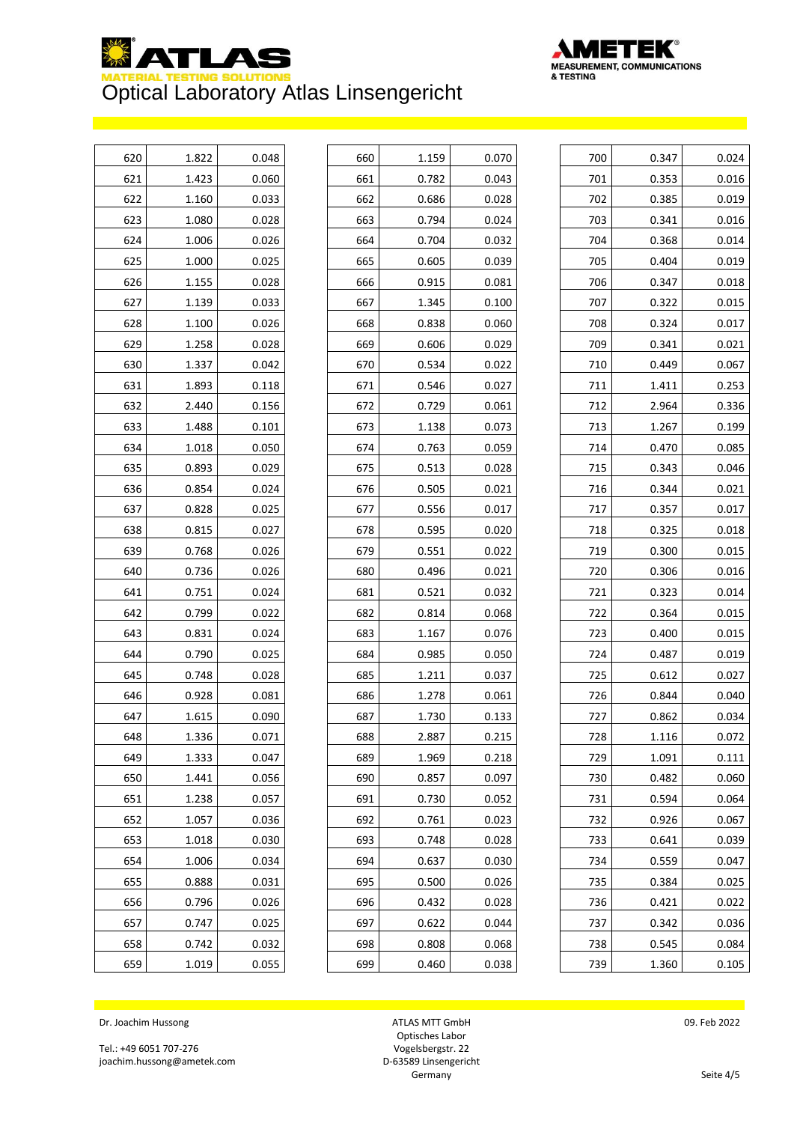



| 620 | 1.822 | 0.048 |
|-----|-------|-------|
| 621 | 1.423 | 0.060 |
| 622 | 1.160 | 0.033 |
| 623 | 1.080 | 0.028 |
| 624 | 1.006 | 0.026 |
| 625 | 1.000 | 0.025 |
| 626 | 1.155 | 0.028 |
| 627 | 1.139 | 0.033 |
| 628 | 1.100 | 0.026 |
| 629 | 1.258 | 0.028 |
| 630 | 1.337 | 0.042 |
| 631 | 1.893 | 0.118 |
| 632 | 2.440 | 0.156 |
| 633 | 1.488 | 0.101 |
| 634 | 1.018 | 0.050 |
| 635 | 0.893 | 0.029 |
| 636 | 0.854 | 0.024 |
| 637 | 0.828 | 0.025 |
| 638 | 0.815 | 0.027 |
| 639 | 0.768 | 0.026 |
| 640 | 0.736 | 0.026 |
| 641 | 0.751 | 0.024 |
| 642 | 0.799 | 0.022 |
| 643 | 0.831 | 0.024 |
| 644 | 0.790 | 0.025 |
| 645 | 0.748 | 0.028 |
| 646 | 0.928 | 0.081 |
| 647 | 1.615 | 0.090 |
| 648 | 1.336 | 0.071 |
| 649 | 1.333 | 0.047 |
| 650 | 1.441 | 0.056 |
| 651 | 1.238 | 0.057 |
| 652 | 1.057 | 0.036 |
| 653 | 1.018 | 0.030 |
| 654 | 1.006 | 0.034 |
| 655 | 0.888 | 0.031 |
| 656 | 0.796 | 0.026 |
| 657 | 0.747 | 0.025 |
| 658 | 0.742 | 0.032 |
| 659 | 1.019 | 0.055 |

| 660 | 1.159 | 0.070 |
|-----|-------|-------|
| 661 | 0.782 | 0.043 |
| 662 | 0.686 | 0.028 |
| 663 | 0.794 | 0.024 |
| 664 | 0.704 | 0.032 |
| 665 | 0.605 | 0.039 |
| 666 | 0.915 | 0.081 |
| 667 | 1.345 | 0.100 |
| 668 | 0.838 | 0.060 |
| 669 | 0.606 | 0.029 |
| 670 | 0.534 | 0.022 |
| 671 | 0.546 | 0.027 |
| 672 | 0.729 | 0.061 |
| 673 | 1.138 | 0.073 |
| 674 | 0.763 | 0.059 |
| 675 | 0.513 | 0.028 |
| 676 | 0.505 | 0.021 |
| 677 | 0.556 | 0.017 |
| 678 | 0.595 | 0.020 |
| 679 | 0.551 | 0.022 |
| 680 | 0.496 | 0.021 |
| 681 | 0.521 | 0.032 |
| 682 | 0.814 | 0.068 |
| 683 | 1.167 | 0.076 |
| 684 | 0.985 | 0.050 |
| 685 | 1.211 | 0.037 |
| 686 | 1.278 | 0.061 |
| 687 | 1.730 | 0.133 |
| 688 | 2.887 | 0.215 |
| 689 | 1.969 | 0.218 |
| 690 | 0.857 | 0.097 |
| 691 | 0.730 | 0.052 |
| 692 | 0.761 | 0.023 |
| 693 | 0.748 | 0.028 |
| 694 | 0.637 | 0.030 |
| 695 | 0.500 | 0.026 |
| 696 | 0.432 | 0.028 |
| 697 | 0.622 | 0.044 |
| 698 | 0.808 | 0.068 |
| 699 | 0.460 | 0.038 |

| 700 | 0.347 | 0.024 |
|-----|-------|-------|
| 701 | 0.353 | 0.016 |
| 702 | 0.385 | 0.019 |
| 703 | 0.341 | 0.016 |
| 704 | 0.368 | 0.014 |
| 705 | 0.404 | 0.019 |
| 706 | 0.347 | 0.018 |
| 707 | 0.322 | 0.015 |
| 708 | 0.324 | 0.017 |
| 709 | 0.341 | 0.021 |
| 710 | 0.449 | 0.067 |
| 711 | 1.411 | 0.253 |
| 712 | 2.964 | 0.336 |
| 713 | 1.267 | 0.199 |
| 714 | 0.470 | 0.085 |
| 715 | 0.343 | 0.046 |
| 716 | 0.344 | 0.021 |
| 717 | 0.357 | 0.017 |
| 718 | 0.325 | 0.018 |
| 719 | 0.300 | 0.015 |
| 720 | 0.306 | 0.016 |
| 721 | 0.323 | 0.014 |
| 722 | 0.364 | 0.015 |
| 723 | 0.400 | 0.015 |
| 724 | 0.487 | 0.019 |
| 725 | 0.612 | 0.027 |
| 726 | 0.844 | 0.040 |
| 727 | 0.862 | 0.034 |
| 728 | 1.116 | 0.072 |
| 729 | 1.091 | 0.111 |
| 730 | 0.482 | 0.060 |
| 731 | 0.594 | 0.064 |
| 732 | 0.926 | 0.067 |
| 733 | 0.641 | 0.039 |
| 734 | 0.559 | 0.047 |
| 735 | 0.384 | 0.025 |
| 736 | 0.421 | 0.022 |
| 737 | 0.342 | 0.036 |
| 738 | 0.545 | 0.084 |
| 739 | 1.360 | 0.105 |
|     |       |       |

Dr. Joachim Hussong

Tel.: +49 6051 707-276 joachim.hussong@ametek.com

ATLAS MTT GmbH Optisches Labor Vogelsbergstr. 22 D-63589 Linsengericht **Germany**